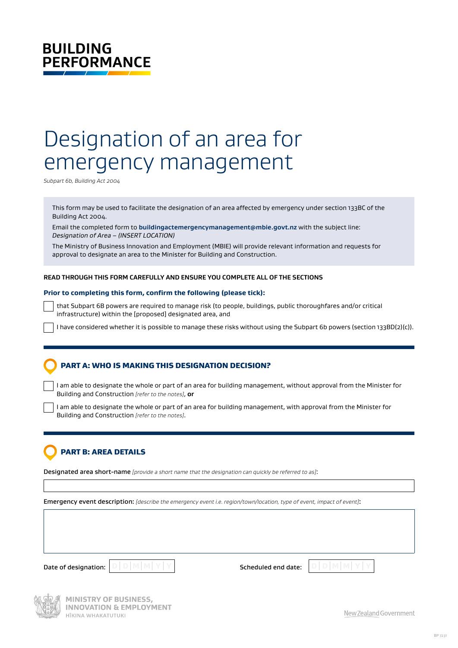# **BUILDING PERFORMANCE**

# Designation of an area for emergency management

*Subpart 6b, Building Act 2004*

This form may be used to facilitate the designation of an area affected by emergency under section 133BC of the Building Act 2004.

Email the completed form to **[buildingactemergencymanagement@mbie.govt.nz](mailto:buildingactemergencymanagement%40mbie.govt.nz?subject=)** with the subject line: *Designation of Area – (INSERT LOCATION)*

The Ministry of Business Innovation and Employment (MBIE) will provide relevant information and requests for approval to designate an area to the Minister for Building and Construction.

#### **READ THROUGH THIS FORM CAREFULLY AND ENSURE YOU COMPLETE ALL OF THE SECTIONS**

#### **Prior to completing this form, confirm the following (please tick):**

that Subpart 6B powers are required to manage risk (to people, buildings, public thoroughfares and/or critical infrastructure) within the [proposed] designated area, and

I have considered whether it is possible to manage these risks without using the Subpart 6b powers (section 133BD(2)(c)).

## PART A: WHO IS MAKING THIS DESIGNATION DECISION?

I am able to designate the whole or part of an area for building management, without approval from the Minister for Building and Construction *[refer to the notes]*, **or**

I am able to designate the whole or part of an area for building management, with approval from the Minister for Building and Construction *[refer to the notes]*.

# PART B: AREA DETAILS

Designated area short-name *[provide a short name that the designation can quickly be referred to as]*:

Emergency event description: *[describe the emergency event i.e. region/town/location, type of event, impact of event]*:

Date of designation: **D** D M M Y Y **Scheduled end date: D** D M M



**MINISTRY OF BUSINESS, INNOVATION & EMPLOYMENT** HĪKINA WHAKATUTUKI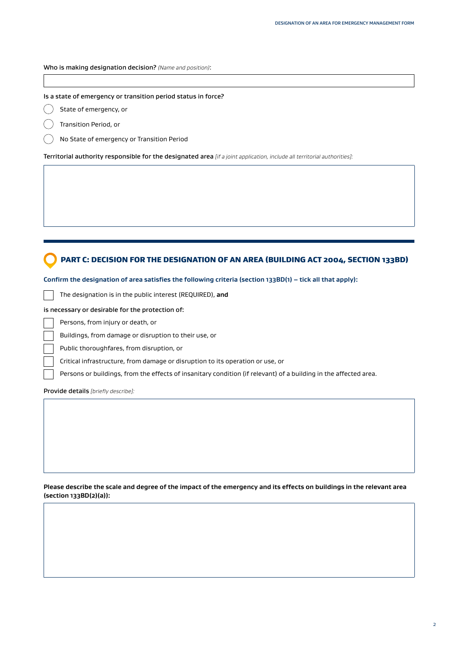#### Who is making designation decision? *(Name and position)*:

#### Is a state of emergency or transition period status in force?

 State of emergency, or €

Transition Period, or

No State of emergency or Transition Period

Territorial authority responsible for the designated area *[if a joint application, include all territorial authorities]:*

## PART C: DECISION FOR THE DESIGNATION OF AN AREA (BUILDING ACT 2004, SECTION 133BD)

**Confirm the designation of area satisfies the following criteria (section 133BD(1) – tick all that apply):**

The designation is in the public interest (REQUIRED), **and**

is necessary or desirable for the protection of:

Persons, from injury or death, or

Buildings, from damage or disruption to their use, or

Public thoroughfares, from disruption, or

Critical infrastructure, from damage or disruption to its operation or use, or

Persons or buildings, from the effects of insanitary condition (if relevant) of a building in the affected area.

Provide details *[briefly describe]:*

**Please describe the scale and degree of the impact of the emergency and its effects on buildings in the relevant area (section 133BD(2)(a)):**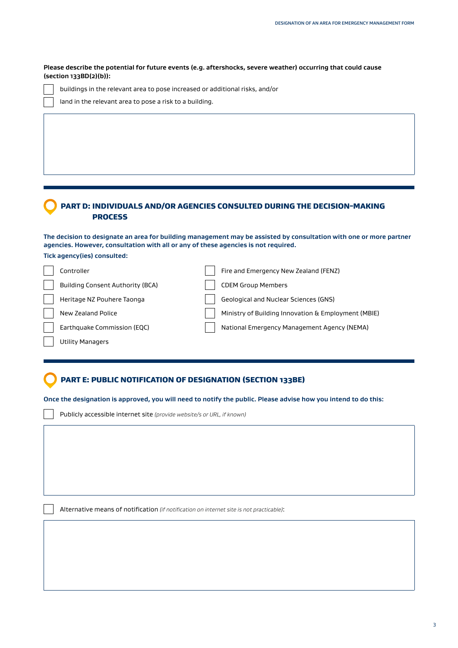**Please describe the potential for future events (e.g. aftershocks, severe weather) occurring that could cause (section 133BD(2)(b)):**

buildings in the relevant area to pose increased or additional risks, and/or

|  | land in the relevant area to pose a risk to a building. |  |  |  |  |  |
|--|---------------------------------------------------------|--|--|--|--|--|
|  |                                                         |  |  |  |  |  |

## PART D: INDIVIDUALS AND/OR AGENCIES CONSULTED DURING THE DECISION-MAKING PROCESS

**The decision to designate an area for building management may be assisted by consultation with one or more partner agencies. However, consultation with all or any of these agencies is not required. Tick agency(ies) consulted:**

| Controller                              | Fire and Emergency New Zealand (FENZ)               |
|-----------------------------------------|-----------------------------------------------------|
| <b>Building Consent Authority (BCA)</b> | <b>CDEM Group Members</b>                           |
| Heritage NZ Pouhere Taonga              | Geological and Nuclear Sciences (GNS)               |
| New Zealand Police                      | Ministry of Building Innovation & Employment (MBIE) |
| Earthquake Commission (EQC)             | National Emergency Management Agency (NEMA)         |
| <b>Utility Managers</b>                 |                                                     |

# PART E: PUBLIC NOTIFICATION OF DESIGNATION (SECTION 133BE)

**Once the designation is approved, you will need to notify the public. Please advise how you intend to do this:**

Publicly accessible internet site *(provide website/s or URL, if known)*

Alternative means of notification *(if notification on internet site is not practicable)*: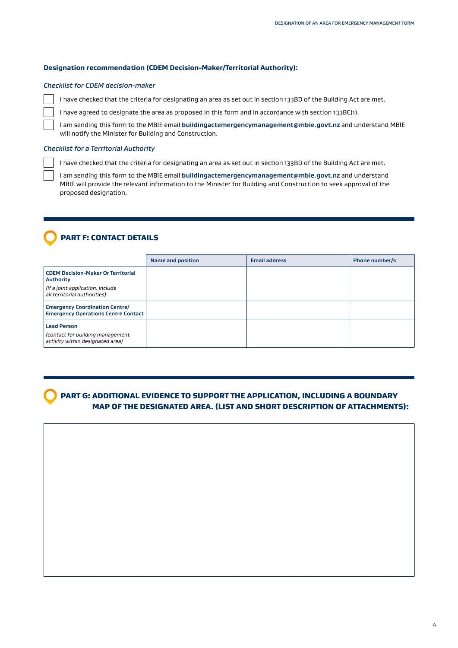#### **Designation recommendation (CDEM Decision-Maker/Territorial Authority):**

#### *Checklist for CDEM decision-maker*

I have checked that the criteria for designating an area as set out in section 133BD of the Building Act are met.

I have agreed to designate the area as proposed in this form and in accordance with section 133BC(1).

I am sending this form to the MBIE email **[buildingactemergencymanagement@mbie.govt.nz](mailto:buildingactemergencymanagement%40mbie.govt.nz?subject=)** and understand MBIE will notify the Minister for Building and Construction.

#### *Checklist for a Territorial Authority*

I have checked that the criteria for designating an area as set out in section 133BD of the Building Act are met.

I am sending this form to the MBIE email **[buildingactemergencymanagement@mbie.govt.nz](mailto:buildingactemergencymanagement%40mbie.govt.nz?subject=)** and understand MBIE will provide the relevant information to the Minister for Building and Construction to seek approval of the proposed designation.

## PART F: CONTACT DETAILS

|                                                                                            | Name and position | <b>Email address</b> | <b>Phone number/s</b> |
|--------------------------------------------------------------------------------------------|-------------------|----------------------|-----------------------|
| <b>CDEM Decision-Maker Or Territorial</b><br><b>Authority</b>                              |                   |                      |                       |
| (if a joint application, include<br>all territorial authorities)                           |                   |                      |                       |
| <b>Emergency Coordination Centre/</b><br><b>Emergency Operations Centre Contact</b>        |                   |                      |                       |
| <b>Lead Person</b><br>(contact for building management<br>activity within designated area) |                   |                      |                       |

 PART G: ADDITIONAL EVIDENCE TO SUPPORT THE APPLICATION, INCLUDING A BOUNDARY MAP OF THE DESIGNATED AREA. (LIST AND SHORT DESCRIPTION OF ATTACHMENTS):